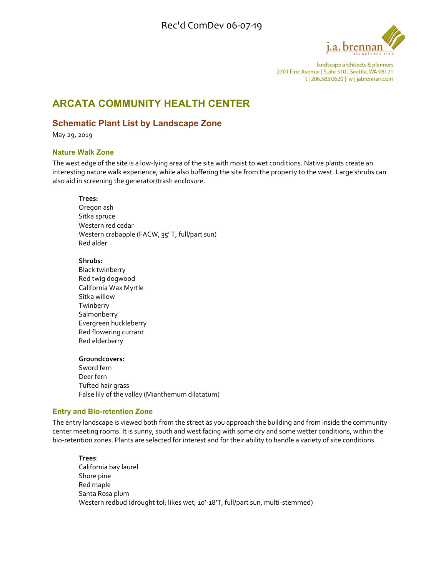

landscape architects & planners 2701 First Avenue | Suite 510 | Seattle, WA 98121 t | 206.583.0620 | w | jabrennan.com

# **ARCATA COMMUNITY HEALTH CENTER**

## **Schematic Plant List by Landscape Zone**

May 29, 2019

### **Nature Walk Zone**

The west edge of the site is a low‐lying area of the site with moist to wet conditions. Native plants create an interesting nature walk experience, while also buffering the site from the property to the west. Large shrubs can also aid in screening the generator/trash enclosure.

### **Trees:**

Oregon ash Sitka spruce Western red cedar Western crabapple (FACW, 35' T, full/part sun) Red alder

### **Shrubs:**

Black twinberry Red twig dogwood California Wax Myrtle Sitka willow Twinberry **Salmonberry** Evergreen huckleberry Red flowering currant Red elderberry

### **Groundcovers:**

Sword fern Deer fern Tufted hair grass False lily of the valley (Mianthemum dilatatum)

### **Entry and Bio-retention Zone**

The entry landscape is viewed both from the street as you approach the building and from inside the community center meeting rooms. It is sunny, south and west facing with some dry and some wetter conditions, within the bio-retention zones. Plants are selected for interest and for their ability to handle a variety of site conditions.

**Trees**: California bay laurel Shore pine Red maple Santa Rosa plum Western redbud (drought tol; likes wet; 10'-18'T, full/part sun, multi-stemmed)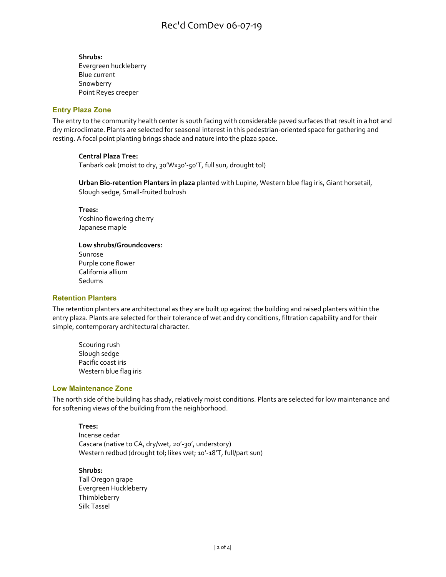**Shrubs:** Evergreen huckleberry Blue current Snowberry Point Reyes creeper

### **Entry Plaza Zone**

The entry to the community health center is south facing with considerable paved surfaces that result in a hot and dry microclimate. Plants are selected for seasonal interest in this pedestrian‐oriented space for gathering and resting. A focal point planting brings shade and nature into the plaza space.

### **Central Plaza Tree:**

Tanbark oak (moist to dry, 30'Wx30'‐50'T, full sun, drought tol)

**Urban Bio‐retention Planters in plaza** planted with Lupine, Western blue flag iris, Giant horsetail, Slough sedge, Small‐fruited bulrush

**Trees:** Yoshino flowering cherry Japanese maple

**Low shrubs/Groundcovers:** Sunrose Purple cone flower California allium Sedums

### **Retention Planters**

The retention planters are architectural as they are built up against the building and raised planters within the entry plaza. Plants are selected for their tolerance of wet and dry conditions, filtration capability and for their simple, contemporary architectural character.

Scouring rush Slough sedge Pacific coast iris Western blue flag iris

### **Low Maintenance Zone**

The north side of the building has shady, relatively moist conditions. Plants are selected for low maintenance and for softening views of the building from the neighborhood.

### **Trees:**

Incense cedar Cascara (native to CA, dry/wet, 20'‐30', understory) Western redbud (drought tol; likes wet; 10'‐18'T, full/part sun)

#### **Shrubs:**

Tall Oregon grape Evergreen Huckleberry **Thimbleberry** Silk Tassel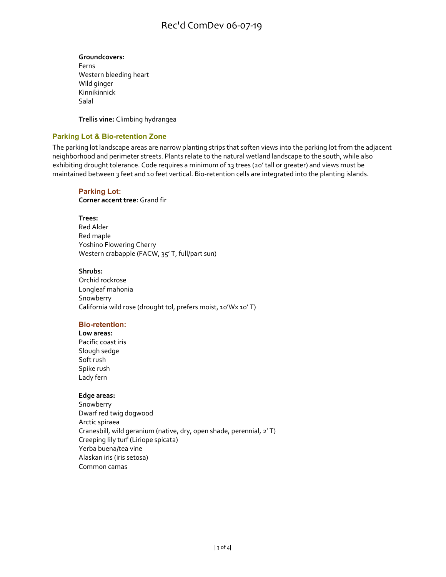## Rec'd ComDev 06-07-19

## **Groundcovers:**

Ferns Western bleeding heart Wild ginger Kinnikinnick Salal

**Trellis vine:** Climbing hydrangea

## **Parking Lot & Bio-retention Zone**

The parking lot landscape areas are narrow planting strips that soften views into the parking lot from the adjacent neighborhood and perimeter streets. Plants relate to the natural wetland landscape to the south, while also exhibiting drought tolerance. Code requires a minimum of 13 trees (20' tall or greater) and views must be maintained between 3 feet and 10 feet vertical. Bio-retention cells are integrated into the planting islands.

### **Parking Lot:**

**Corner accent tree:** Grand fir

### **Trees:**

Red Alder Red maple Yoshino Flowering Cherry Western crabapple (FACW, 35' T, full/part sun)

### **Shrubs:**

Orchid rockrose Longleaf mahonia Snowberry California wild rose (drought tol, prefers moist, 10'Wx 10' T)

### **Bio-retention:**

**Low areas:** Pacific coast iris Slough sedge Soft rush Spike rush Lady fern

### **Edge areas:**

Snowberry Dwarf red twig dogwood Arctic spiraea Cranesbill, wild geranium (native, dry, open shade, perennial, 2' T) Creeping lily turf (Liriope spicata) Yerba buena/tea vine Alaskan iris (iris setosa) Common camas